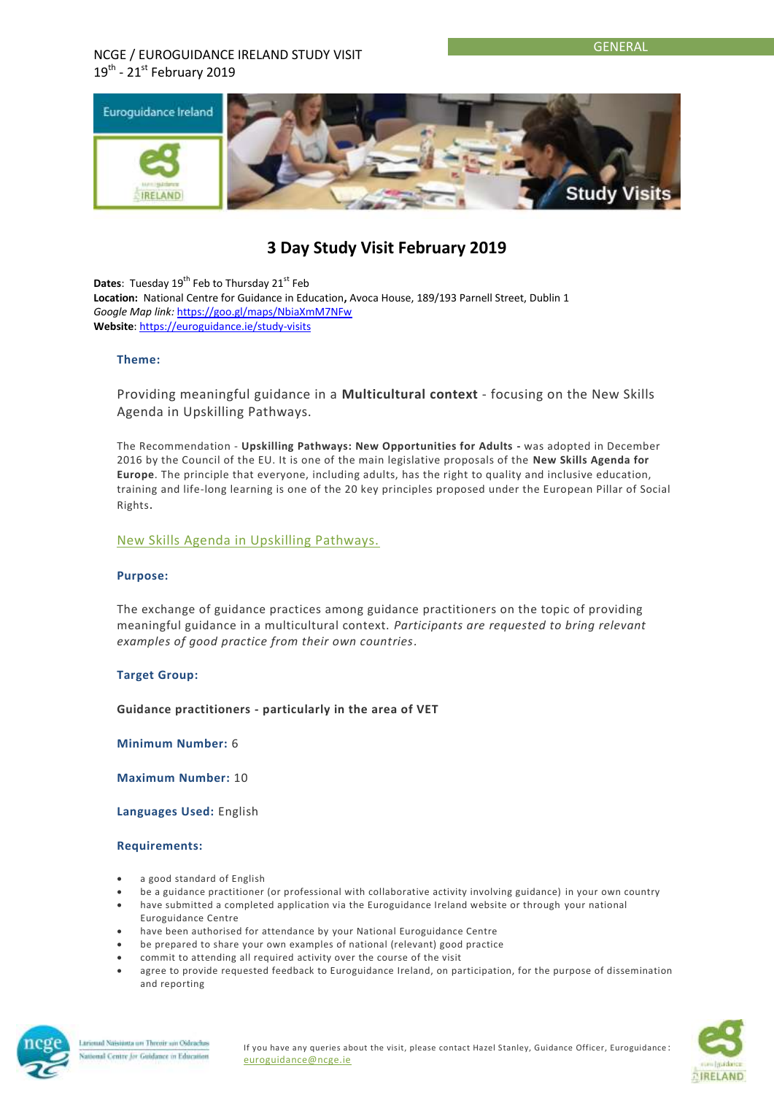## NCGE / EUROGUIDANCE IRELAND STUDY VISIT  $19^{\text{th}}$  - 21st February 2019



# **3 Day Study Visit February 2019**

**Dates:** Tuesday 19<sup>th</sup> Feb to Thursday 21<sup>st</sup> Feb **Location:** National Centre for Guidance in Education**,** Avoca House, 189/193 Parnell Street, Dublin 1 *Google Map link:* <https://goo.gl/maps/NbiaXmM7NFw> **Website**[: https://euroguidance.ie/study-visits](https://euroguidance.ie/study-visits)

#### **Theme:**

Providing meaningful guidance in a **Multicultural context** - focusing on the New Skills Agenda in Upskilling Pathways.

The Recommendation - **Upskilling Pathways: New Opportunities for Adults -** was adopted in December 2016 by the Council of the EU. It is one of the main legislative proposals of the **New Skills Agenda for Europe**. The principle that everyone, including adults, has the right to quality and inclusive education, training and life-long learning is one of the 20 key principles proposed under the European Pillar of Social Rights.

[New Skills Agenda in Upskilling Pathways.](http://ec.europa.eu/social/BlobServlet?docId=18110&langId=en)

#### **Purpose:**

The exchange of guidance practices among guidance practitioners on the topic of providing meaningful guidance in a multicultural context. *Participants are requested to bring relevant examples of good practice from their own countries.*

### **Target Group:**

**Guidance practitioners - particularly in the area of VET**

**Minimum Number:** 6

**Maximum Number:** 10

**Languages Used:** English

#### **Requirements:**

- a good standard of English
- be a guidance practitioner (or professional with collaborative activity involving guidance) in your own country
- have submitted a completed application via the Euroguidance Ireland website or through your national
- Euroguidance Centre have been authorised for attendance by your National Euroguidance Centre
- be prepared to share your own examples of national (relevant) good practice
- commit to attending all required activity over the course of the visit
- agree to provide requested feedback to Euroguidance Ireland, on participation, for the purpose of dissemination and reporting